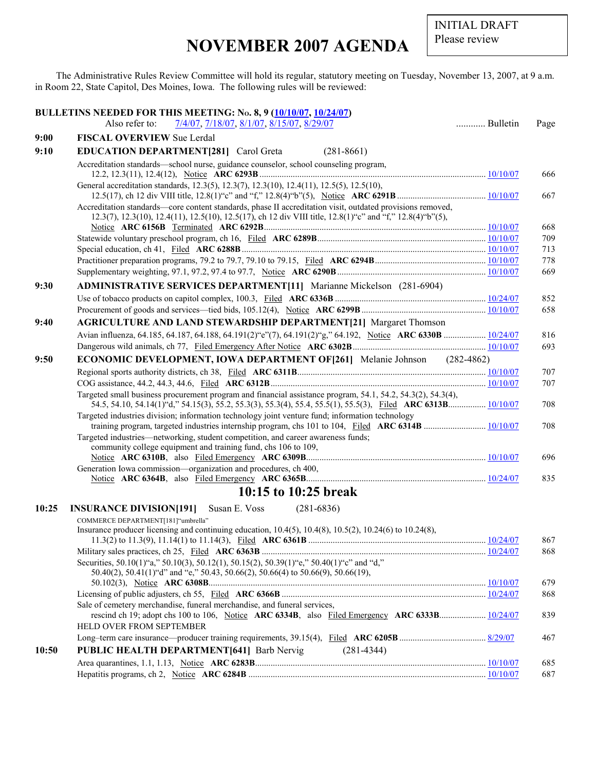INITIAL DRAFT Please review

## **NOVEMBER 2007 AGENDA**

The Administrative Rules Review Committee will hold its regular, statutory meeting on Tuesday, November 13, 2007, at 9 a.m. in Room 22, State Capitol, Des Moines, Iowa. The following rules will be reviewed:

|       | BULLETINS NEEDED FOR THIS MEETING: No. 8, 9 (10/10/07, 10/24/07)                                                                                                                                                             |          |            |
|-------|------------------------------------------------------------------------------------------------------------------------------------------------------------------------------------------------------------------------------|----------|------------|
|       | Also refer to:<br>7/4/07, 7/18/07, 8/1/07, 8/15/07, 8/29/07                                                                                                                                                                  | Bulletin | Page       |
| 9:00  | <b>FISCAL OVERVIEW Sue Lerdal</b>                                                                                                                                                                                            |          |            |
| 9:10  | <b>EDUCATION DEPARTMENT[281]</b> Carol Greta<br>$(281-8661)$                                                                                                                                                                 |          |            |
|       | Accreditation standards—school nurse, guidance counselor, school counseling program,                                                                                                                                         |          | 666        |
|       | General accreditation standards, 12.3(5), 12.3(7), 12.3(10), 12.4(11), 12.5(5), 12.5(10),                                                                                                                                    |          | 667        |
|       | Accreditation standards—core content standards, phase II accreditation visit, outdated provisions removed,<br>12.3(7), 12.3(10), 12.4(11), 12.5(10), 12.5(17), ch 12 div VIII title, 12.8(1) "c" and "f," 12.8(4) "b"(5),    |          |            |
|       |                                                                                                                                                                                                                              |          | 668<br>709 |
|       |                                                                                                                                                                                                                              |          | 713        |
|       |                                                                                                                                                                                                                              |          | 778        |
|       |                                                                                                                                                                                                                              |          | 669        |
| 9:30  | <b>ADMINISTRATIVE SERVICES DEPARTMENT[11]</b> Marianne Mickelson (281-6904)                                                                                                                                                  |          |            |
|       |                                                                                                                                                                                                                              |          | 852        |
|       |                                                                                                                                                                                                                              |          | 658        |
| 9:40  | <b>AGRICULTURE AND LAND STEWARDSHIP DEPARTMENT[21] Margaret Thomson</b>                                                                                                                                                      |          |            |
|       | Avian influenza, 64.185, 64.187, 64.188, 64.191(2) "e"(7), 64.191(2) "g," 64.192, Notice ARC 6330B  10/24/07                                                                                                                 |          | 816        |
|       |                                                                                                                                                                                                                              |          | 693        |
| 9:50  | <b>ECONOMIC DEVELOPMENT, IOWA DEPARTMENT OF [261]</b> Melanie Johnson (282-4862)                                                                                                                                             |          |            |
|       |                                                                                                                                                                                                                              |          | 707        |
|       |                                                                                                                                                                                                                              |          | 707        |
|       | Targeted small business procurement program and financial assistance program, 54.1, 54.2, 54.3(2), 54.3(4),<br>54.5, 54.10, 54.14(1) "d," 54.15(3), 55.2, 55.3(3), 55.3(4), 55.4, 55.5(1), 55.5(3), Filed ARC 6313B 10/10/07 |          | 708        |
|       | Targeted industries division; information technology joint venture fund; information technology                                                                                                                              |          |            |
|       | Targeted industries—networking, student competition, and career awareness funds;                                                                                                                                             |          | 708        |
|       | community college equipment and training fund, chs 106 to 109,                                                                                                                                                               |          | 696        |
|       | Generation Iowa commission—organization and procedures, ch 400,                                                                                                                                                              |          | 835        |
|       | 10:15 to 10:25 break                                                                                                                                                                                                         |          |            |
| 10:25 | <b>INSURANCE DIVISION[191]</b> Susan E. Voss<br>$(281 - 6836)$                                                                                                                                                               |          |            |
|       | COMMERCE DEPARTMENT[181]"umbrella"<br>Insurance producer licensing and continuing education, $10.4(5)$ , $10.4(8)$ , $10.5(2)$ , $10.24(6)$ to $10.24(8)$ ,                                                                  |          |            |
|       |                                                                                                                                                                                                                              |          | 867        |
|       |                                                                                                                                                                                                                              |          | 868        |
|       | Securities, 50.10(1) "a," 50.10(3), 50.12(1), 50.15(2), 50.39(1) "e," 50.40(1) "c" and "d,"<br>50.40(2), 50.41(1) "d" and "e," 50.43, 50.66(2), 50.66(4) to 50.66(9), 50.66(19),                                             |          |            |
|       |                                                                                                                                                                                                                              |          | 679        |
|       | Sale of cemetery merchandise, funeral merchandise, and funeral services,                                                                                                                                                     |          | 868        |
|       | rescind ch 19; adopt chs 100 to 106, Notice ARC 6334B, also Filed Emergency ARC 6333B 10/24/07<br>HELD OVER FROM SEPTEMBER                                                                                                   |          | 839        |
|       |                                                                                                                                                                                                                              |          | 467        |
| 10:50 | <b>PUBLIC HEALTH DEPARTMENT[641] Barb Nervig</b><br>$(281-4344)$                                                                                                                                                             |          |            |
|       |                                                                                                                                                                                                                              |          | 685        |
|       |                                                                                                                                                                                                                              |          | 687        |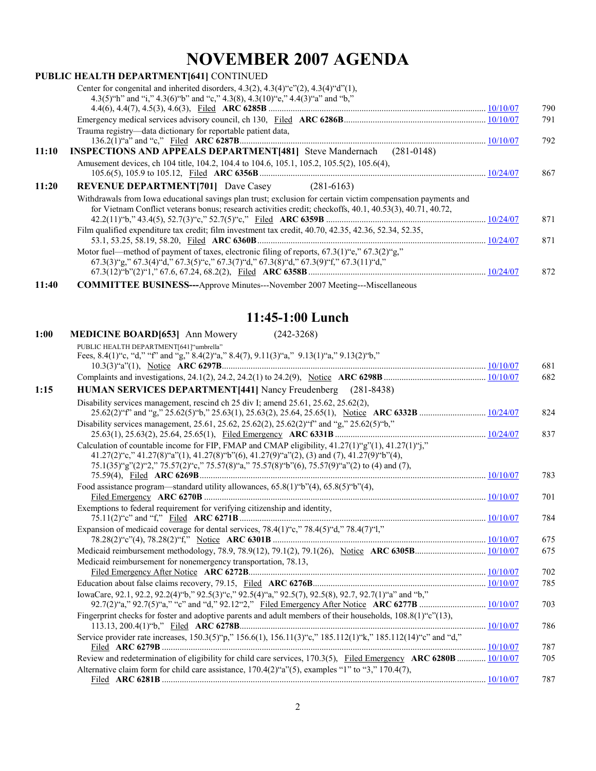# **NOVEMBER 2007 AGENDA**

|       | PUBLIC HEALTH DEPARTMENT[641] CONTINUED                                                                                                                                                                                   |     |
|-------|---------------------------------------------------------------------------------------------------------------------------------------------------------------------------------------------------------------------------|-----|
|       | Center for congenital and inherited disorders, $4.3(2)$ , $4.3(4)$ "c" $(2)$ , $4.3(4)$ "d" $(1)$ ,<br>4.3(5) "h" and "i," 4.3(6) "b" and "c," 4.3(8), 4.3(10) "e," 4.4(3) "a" and "b,"                                   |     |
|       |                                                                                                                                                                                                                           | 790 |
|       |                                                                                                                                                                                                                           | 791 |
|       | Trauma registry-data dictionary for reportable patient data,                                                                                                                                                              |     |
|       |                                                                                                                                                                                                                           | 792 |
| 11:10 | <b>INSPECTIONS AND APPEALS DEPARTMENT[481]</b> Steve Mandernach (281-0148)                                                                                                                                                |     |
|       | Amusement devices, ch 104 title, 104.2, 104.4 to 104.6, 105.1, 105.2, 105.5(2), 105.6(4),                                                                                                                                 |     |
|       |                                                                                                                                                                                                                           | 867 |
| 11:20 | <b>REVENUE DEPARTMENT[701]</b> Dave Casey (281-6163)                                                                                                                                                                      |     |
|       | Withdrawals from Iowa educational savings plan trust; exclusion for certain victim compensation payments and<br>for Vietnam Conflict veterans bonus; research activities credit; checkoffs, 40.1, 40.53(3), 40.71, 40.72, |     |
|       |                                                                                                                                                                                                                           | 871 |
|       | Film qualified expenditure tax credit; film investment tax credit, 40.70, 42.35, 42.36, 52.34, 52.35,                                                                                                                     |     |
|       |                                                                                                                                                                                                                           | 871 |
|       | Motor fuel—method of payment of taxes, electronic filing of reports, $67.3(1)$ "e," $67.3(2)$ "g,"                                                                                                                        |     |
|       | $67.3(3)$ "g," $67.3(4)$ "d," $67.3(5)$ "c," $67.3(7)$ "d," $67.3(8)$ "d," $67.3(9)$ "f," $67.3(11)$ "d,"                                                                                                                 |     |
|       |                                                                                                                                                                                                                           | 872 |
| 11:40 | <b>COMMITTEE BUSINESS---</b> Approve Minutes---November 2007 Meeting---Miscellaneous                                                                                                                                      |     |

#### **11:45-1:00 Lunch**

| 1:00 | $(242 - 3268)$<br><b>MEDICINE BOARD[653]</b> Ann Mowery                                                                                                                                                                                                                           |     |
|------|-----------------------------------------------------------------------------------------------------------------------------------------------------------------------------------------------------------------------------------------------------------------------------------|-----|
|      | PUBLIC HEALTH DEPARTMENT[641]"umbrella"                                                                                                                                                                                                                                           |     |
|      | Fees, 8.4(1)"c, "d," "f" and "g," 8.4(2)"a," 8.4(7), 9.11(3)"a," 9.13(1)"a," 9.13(2)"b,"                                                                                                                                                                                          | 681 |
|      |                                                                                                                                                                                                                                                                                   | 682 |
|      |                                                                                                                                                                                                                                                                                   |     |
| 1:15 | HUMAN SERVICES DEPARTMENT[441] Nancy Freudenberg (281-8438)                                                                                                                                                                                                                       |     |
|      | Disability services management, rescind ch 25 div I; amend 25.61, 25.62, 25.62(2),                                                                                                                                                                                                | 824 |
|      | Disability services management, 25.61, 25.62, 25.62(2), 25.62(2) "f" and "g," 25.62(5) "b,"                                                                                                                                                                                       | 837 |
|      | Calculation of countable income for FIP, FMAP and CMAP eligibility, $41.27(1)$ "g" $(1)$ , $41.27(1)$ "j,"<br>$41.27(2)^{6}$ ;" $41.27(8)^{6}$ ;" $a$ " $(1)$ , $41.27(8)^{6}$ ;" $b$ " $(6)$ , $41.27(9)^{6}$ ;" $a$ " $(2)$ , $(3)$ and $(7)$ , $41.27(9)^{6}$ ;" $b$ " $(4)$ , |     |
|      | $75.1(35)^{9}$ g''(2)"2," $75.57(2)^{6}$ c," $75.57(8)^{6}$ a," $75.57(8)^{6}$ b''(6), $75.57(9)^{6}$ a''(2) to (4) and (7),                                                                                                                                                      | 783 |
|      | Food assistance program—standard utility allowances, $65.8(1)$ "b" $(4)$ , $65.8(5)$ "b" $(4)$ ,                                                                                                                                                                                  |     |
|      |                                                                                                                                                                                                                                                                                   | 701 |
|      | Exemptions to federal requirement for verifying citizenship and identity,                                                                                                                                                                                                         | 784 |
|      | Expansion of medicaid coverage for dental services, 78.4(1)"c," 78.4(5)"d," 78.4(7)"l,"                                                                                                                                                                                           |     |
|      |                                                                                                                                                                                                                                                                                   | 675 |
|      | Medicaid reimbursement for nonemergency transportation, 78.13,                                                                                                                                                                                                                    | 675 |
|      |                                                                                                                                                                                                                                                                                   | 702 |
|      |                                                                                                                                                                                                                                                                                   | 785 |
|      | IowaCare, 92.1, 92.2, 92.2(4) "b," 92.5(3) "c," 92.5(4) "a," 92.5(7), 92.5(8), 92.7, 92.7(1) "a" and "b,"                                                                                                                                                                         |     |
|      |                                                                                                                                                                                                                                                                                   | 703 |
|      | Fingerprint checks for foster and adoptive parents and adult members of their households, 108.8(1)"c"(13),                                                                                                                                                                        | 786 |
|      | Service provider rate increases, 150.3(5)"p," 156.6(1), 156.11(3)"c," 185.112(1)"k," 185.112(14)"c" and "d,"                                                                                                                                                                      | 787 |
|      | Review and redetermination of eligibility for child care services, 170.3(5), Filed Emergency ARC 6280B  10/10/07                                                                                                                                                                  | 705 |
|      | Alternative claim form for child care assistance, 170.4(2)"a"(5), examples "1" to "3," 170.4(7),                                                                                                                                                                                  |     |
|      |                                                                                                                                                                                                                                                                                   | 787 |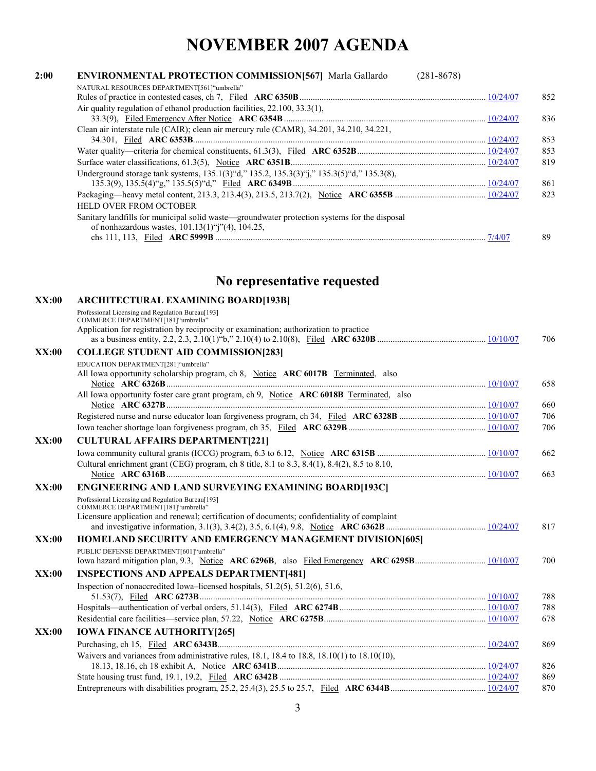## **NOVEMBER 2007 AGENDA**

| 2:00 | <b>ENVIRONMENTAL PROTECTION COMMISSION[567]</b> Marla Gallardo<br>$(281 - 8678)$                                                                                                               |     |
|------|------------------------------------------------------------------------------------------------------------------------------------------------------------------------------------------------|-----|
|      | NATURAL RESOURCES DEPARTMENT[561] "umbrella"                                                                                                                                                   | 852 |
|      | Air quality regulation of ethanol production facilities, 22.100, 33.3(1),                                                                                                                      | 836 |
|      | Clean air interstate rule (CAIR); clean air mercury rule (CAMR), 34.201, 34.210, 34.221,                                                                                                       |     |
|      |                                                                                                                                                                                                | 853 |
|      |                                                                                                                                                                                                | 853 |
|      |                                                                                                                                                                                                | 819 |
|      | Underground storage tank systems, 135.1(3) "d," 135.2, 135.3(3) "j," 135.3(5) "d," 135.3(8),                                                                                                   | 861 |
|      | <b>HELD OVER FROM OCTOBER</b>                                                                                                                                                                  | 823 |
|      | Sanitary landfills for municipal solid waste—groundwater protection systems for the disposal<br>of nonhazardous wastes, $101.13(1)$ <sup>(c</sup> j <sup>2</sup> ) <sup>(2</sup> ), $104.25$ , |     |
|      |                                                                                                                                                                                                | 89  |

### **No representative requested**

| XX:00 | <b>ARCHITECTURAL EXAMINING BOARD[193B]</b>                                                                                  |     |
|-------|-----------------------------------------------------------------------------------------------------------------------------|-----|
|       | Professional Licensing and Regulation Bureau[193]                                                                           |     |
|       | COMMERCE DEPARTMENT[181]"umbrella"<br>Application for registration by reciprocity or examination; authorization to practice |     |
|       |                                                                                                                             | 706 |
| XX:00 | <b>COLLEGE STUDENT AID COMMISSION[283]</b>                                                                                  |     |
|       | EDUCATION DEPARTMENT[281]"umbrella"                                                                                         |     |
|       | All Iowa opportunity scholarship program, ch 8, Notice ARC 6017B Terminated, also                                           | 658 |
|       | All Iowa opportunity foster care grant program, ch 9, Notice ARC 6018B Terminated, also                                     |     |
|       |                                                                                                                             | 660 |
|       |                                                                                                                             | 706 |
|       |                                                                                                                             | 706 |
| XX:00 | <b>CULTURAL AFFAIRS DEPARTMENT[221]</b>                                                                                     |     |
|       |                                                                                                                             | 662 |
|       | Cultural enrichment grant (CEG) program, ch 8 title, 8.1 to 8.3, 8.4(1), 8.4(2), 8.5 to 8.10,                               | 663 |
| XX:00 | <b>ENGINEERING AND LAND SURVEYING EXAMINING BOARD[193C]</b>                                                                 |     |
|       | Professional Licensing and Regulation Bureau[193]<br>COMMERCE DEPARTMENT[181]"umbrella"                                     |     |
|       | Licensure application and renewal; certification of documents; confidentiality of complaint                                 | 817 |
| XX:00 | <b>HOMELAND SECURITY AND EMERGENCY MANAGEMENT DIVISION[605]</b>                                                             |     |
|       | PUBLIC DEFENSE DEPARTMENT[601] "umbrella"                                                                                   |     |
|       |                                                                                                                             | 700 |
| XX:00 | <b>INSPECTIONS AND APPEALS DEPARTMENT[481]</b>                                                                              |     |
|       | Inspection of nonaccredited Iowa–licensed hospitals, 51.2(5), 51.2(6), 51.6,                                                | 788 |
|       |                                                                                                                             | 788 |
|       |                                                                                                                             | 678 |
| XX:00 | <b>IOWA FINANCE AUTHORITY[265]</b>                                                                                          |     |
|       |                                                                                                                             | 869 |
|       | Waivers and variances from administrative rules, $18.1$ , $18.4$ to $18.8$ , $18.10(1)$ to $18.10(10)$ ,                    |     |
|       |                                                                                                                             | 826 |
|       |                                                                                                                             | 869 |
|       |                                                                                                                             | 870 |